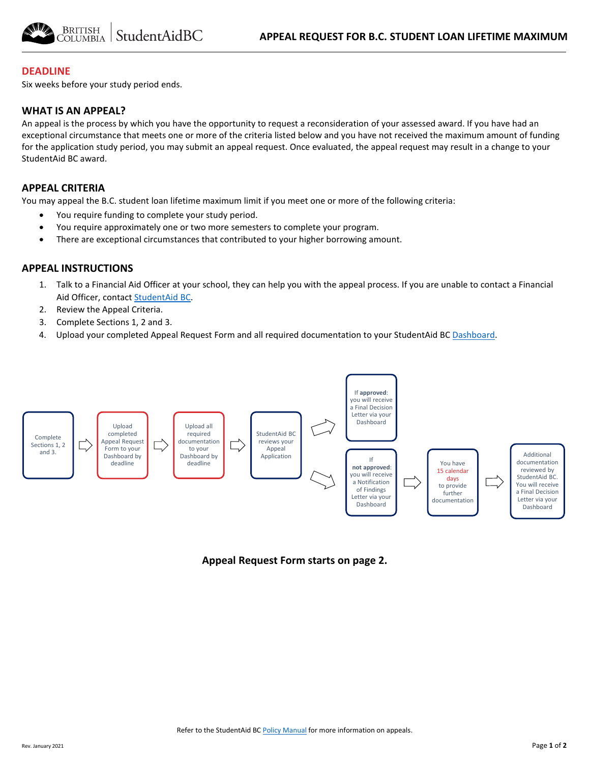

#### **DEADLINE**

Six weeks before your study period ends.

## **WHAT IS AN APPEAL?**

An appeal is the process by which you have the opportunity to request a reconsideration of your assessed award. If you have had an exceptional circumstance that meets one or more of the criteria listed below and you have not received the maximum amount of funding for the application study period, you may submit an appeal request. Once evaluated, the appeal request may result in a change to your StudentAid BC award.

#### **APPEAL CRITERIA**

You may appeal the B.C. student loan lifetime maximum limit if you meet one or more of the following criteria:

- You require funding to complete your study period.
- You require approximately one or two more semesters to complete your program.
- There are exceptional circumstances that contributed to your higher borrowing amount.

### **APPEAL INSTRUCTIONS**

- 1. Talk to a Financial Aid Officer at your school, they can help you with the appeal process. If you are unable to contact a Financial Aid Officer, contac[t StudentAid BC.](https://studentaidbc.ca/contact-information)
- 2. Review the Appeal Criteria.
- 3. Complete Sections 1, 2 and 3.
- 4. Upload your completed Appeal Request Form and all required documentation to your StudentAid BC [Dashboard.](https://studentaidbc.ca/dashboard)



**Appeal Request Form starts on page 2.**